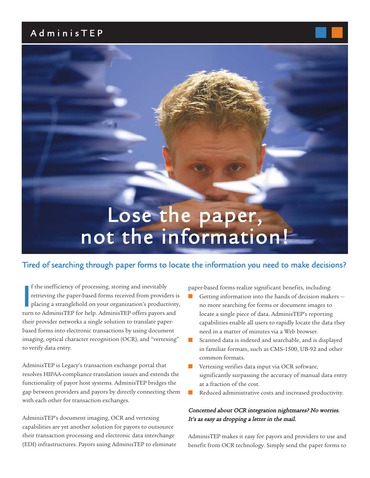# A dminisT E P



### Tired of searching through paper forms to locate the information you need to make decisions?

If the inefficiency of processing, storing and inevitably retrieving the paper-based forms received from providers placing a stranglehold on your organization's productivit turn to AdminisTEP for help. AdminisTEP offers pa f the inefficiency of processing, storing and inevitably retrieving the paper-based forms received from providers is placing a stranglehold on your organization's productivity, their provider networks a single solution to translate paperbased forms into electronic transactions by using document imaging, optical character recognition (OCR), and "vertexing" to verify data entry.

AdminisTEP is Legacy's transaction exchange portal that resolves HIPAA-compliance translation issues and extends the functionality of payor host systems. AdminisTEP bridges the gap between providers and payors by directly connecting them with each other for transaction exchanges.

AdminisTEP's document imaging, OCR and vertexing capabilities are yet another solution for payors to outsource their transaction processing and electronic data interchange (EDI) infrastructures. Payors using AdminisTEP to eliminate paper-based forms realize significant benefits, including:

- Getting information into the hands of decision makers no more searching for forms or document images to locate a single piece of data. AdminisTEP's reporting capabilities enable all users to rapidly locate the data they need in a matter of minutes via a Web browser.
- Scanned data is indexed and searchable, and is displayed in familiar formats, such as CMS-1500, UB-92 and other common formats.
- Vertexing verifies data input via OCR software, significantly surpassing the accuracy of manual data entry at a fraction of the cost.
- Reduced administrative costs and increased productivity.

#### Concerned about OCR integration nightmares? No worries. It's as easy as dropping a letter in the mail.

AdminisTEP makes it easy for payors and providers to use and benefit from OCR technology. Simply send the paper forms to